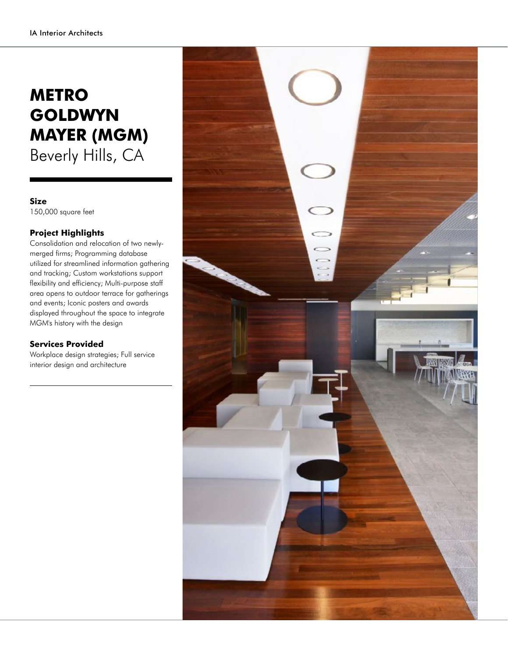## **METRO GOLDWYN MAYER (MGM)** Beverly Hills, CA

## **Size**

150,000 square feet

## **Project Highlights**

Consolidation and relocation of two newlymerged firms; Programming database utilized for streamlined information gathering and tracking; Custom workstations support flexibility and efficiency; Multi-purpose staff area opens to outdoor terrace for gatherings and events; Iconic posters and awards displayed throughout the space to integrate MGM's history with the design

## **Services Provided**

Workplace design strategies; Full service interior design and architecture